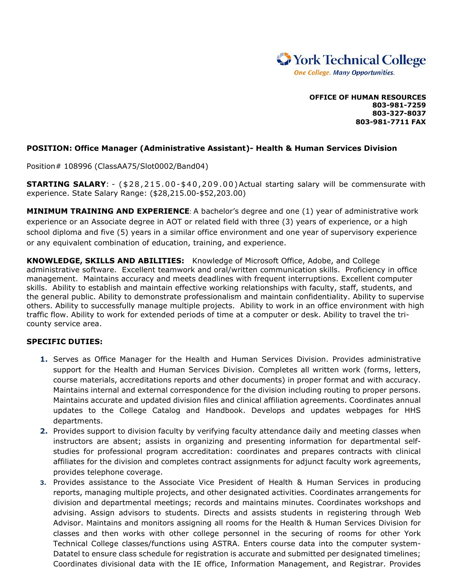

**OFFICE OF HUMAN RESOURCES 803-981-7259 803-327-8037 803-981-7711 FAX**

## **POSITION: Office Manager (Administrative Assistant)- Health & Human Services Division**

Position# 108996 (ClassAA75/Slot0002/Band04)

**STARTING SALARY**: - (\$28,215.00-\$40,209.00)Actual starting salary will be commensurate with experience. State Salary Range: (\$28,215.00-\$52,203.00)

**MINIMUM TRAINING AND EXPERIENCE**: A bachelor's degree and one (1) year of administrative work experience or an Associate degree in AOT or related field with three (3) years of experience, or a high school diploma and five (5) years in a similar office environment and one year of supervisory experience or any equivalent combination of education, training, and experience.

**KNOWLEDGE, SKILLS AND ABILITIES:** Knowledge of Microsoft Office, Adobe, and College administrative software. Excellent teamwork and oral/written communication skills. Proficiency in office management. Maintains accuracy and meets deadlines with frequent interruptions. Excellent computer skills. Ability to establish and maintain effective working relationships with faculty, staff, students, and the general public. Ability to demonstrate professionalism and maintain confidentiality. Ability to supervise others. Ability to successfully manage multiple projects. Ability to work in an office environment with high traffic flow. Ability to work for extended periods of time at a computer or desk. Ability to travel the tricounty service area.

## **SPECIFIC DUTIES:**

- **1.** Serves as Office Manager for the Health and Human Services Division. Provides administrative support for the Health and Human Services Division. Completes all written work (forms, letters, course materials, accreditations reports and other documents) in proper format and with accuracy. Maintains internal and external correspondence for the division including routing to proper persons. Maintains accurate and updated division files and clinical affiliation agreements. Coordinates annual updates to the College Catalog and Handbook. Develops and updates webpages for HHS departments.
- **2.** Provides support to division faculty by verifying faculty attendance daily and meeting classes when instructors are absent; assists in organizing and presenting information for departmental selfstudies for professional program accreditation: coordinates and prepares contracts with clinical affiliates for the division and completes contract assignments for adjunct faculty work agreements, provides telephone coverage.
- **3.** Provides assistance to the Associate Vice President of Health & Human Services in producing reports, managing multiple projects, and other designated activities. Coordinates arrangements for division and departmental meetings; records and maintains minutes. Coordinates workshops and advising. Assign advisors to students. Directs and assists students in registering through Web Advisor. Maintains and monitors assigning all rooms for the Health & Human Services Division for classes and then works with other college personnel in the securing of rooms for other York Technical College classes/functions using ASTRA. Enters course data into the computer system-Datatel to ensure class schedule for registration is accurate and submitted per designated timelines; Coordinates divisional data with the IE office, Information Management, and Registrar. Provides